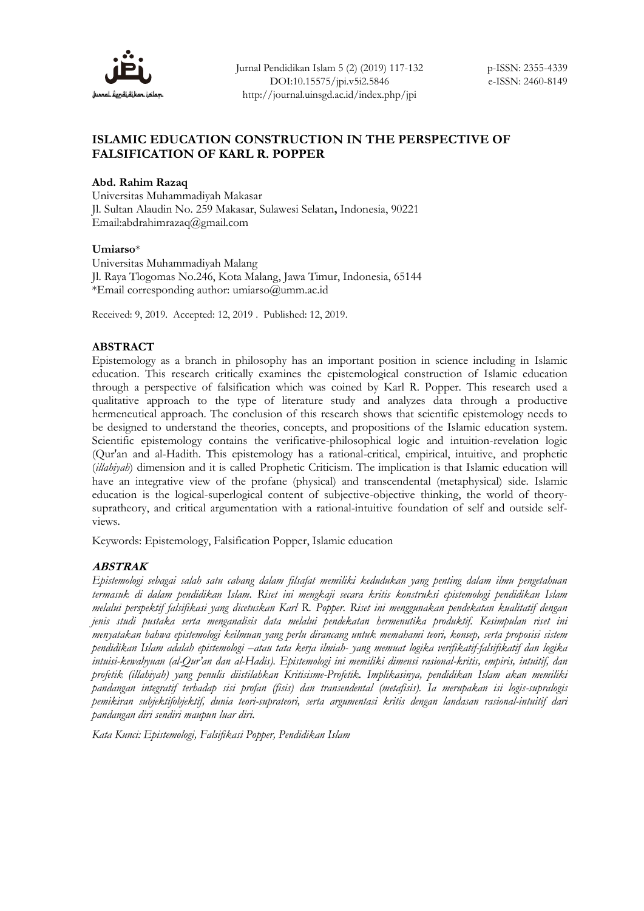

## **ISLAMIC EDUCATION CONSTRUCTION IN THE PERSPECTIVE OF FALSIFICATION OF KARL R. POPPER**

## **Abd. Rahim Razaq**

Universitas Muhammadiyah Makasar Jl. Sultan Alaudin No. 259 Makasar, Sulawesi Selatan**,** Indonesia, 90221 Email:abdrahimrazaq@gmail.com

### **Umiarso**\*

Universitas Muhammadiyah Malang Jl. Raya Tlogomas No.246, Kota Malang, Jawa Timur, Indonesia, 65144 \*Email corresponding author: [umiarso@umm.ac.id](mailto:umiarso@umm.ac.id)

Received: 9, 2019. Accepted: 12, 2019 . Published: 12, 2019.

## **ABSTRACT**

Epistemology as a branch in philosophy has an important position in science including in Islamic education. This research critically examines the epistemological construction of Islamic education through a perspective of falsification which was coined by Karl R. Popper. This research used a qualitative approach to the type of literature study and analyzes data through a productive hermeneutical approach. The conclusion of this research shows that scientific epistemology needs to be designed to understand the theories, concepts, and propositions of the Islamic education system. Scientific epistemology contains the verificative-philosophical logic and intuition-revelation logic (Qur'an and al-Hadith. This epistemology has a rational-critical, empirical, intuitive, and prophetic (*illahiyah*) dimension and it is called Prophetic Criticism. The implication is that Islamic education will have an integrative view of the profane (physical) and transcendental (metaphysical) side. Islamic education is the logical-superlogical content of subjective-objective thinking, the world of theorysupratheory, and critical argumentation with a rational-intuitive foundation of self and outside selfviews.

Keywords: Epistemology, Falsification Popper, Islamic education

## **ABSTRAK**

*Epistemologi sebagai salah satu cabang dalam filsafat memiliki kedudukan yang penting dalam ilmu pengetahuan termasuk di dalam pendidikan Islam. Riset ini mengkaji secara kritis konstruksi epistemologi pendidikan Islam melalui perspektif falsifikasi yang dicetuskan Karl R. Popper. Riset ini menggunakan pendekatan kualitatif dengan jenis studi pustaka serta menganalisis data melalui pendekatan hermenutika produktif. Kesimpulan riset ini menyatakan bahwa epistemologi keilmuan yang perlu dirancang untuk memahami teori, konsep, serta proposisi sistem pendidikan Islam adalah epistemologi –atau tata kerja ilmiah- yang memuat logika verifikatif-falsifikatif dan logika intuisi-kewahyuan (al-Qur'an dan al-Hadis). Epistemologi ini memiliki dimensi rasional-kritis, empiris, intuitif, dan profetik (illahiyah) yang penulis diistilahkan Kritisisme-Profetik. Implikasinya, pendidikan Islam akan memiliki pandangan integratif terhadap sisi profan (fisis) dan transendental (metafisis). Ia merupakan isi logis-supralogis pemikiran subjektifobjektif, dunia teori-suprateori, serta argumentasi kritis dengan landasan rasional-intuitif dari pandangan diri sendiri maupun luar diri.*

*Kata Kunci: Epistemologi, Falsifikasi Popper, Pendidikan Islam*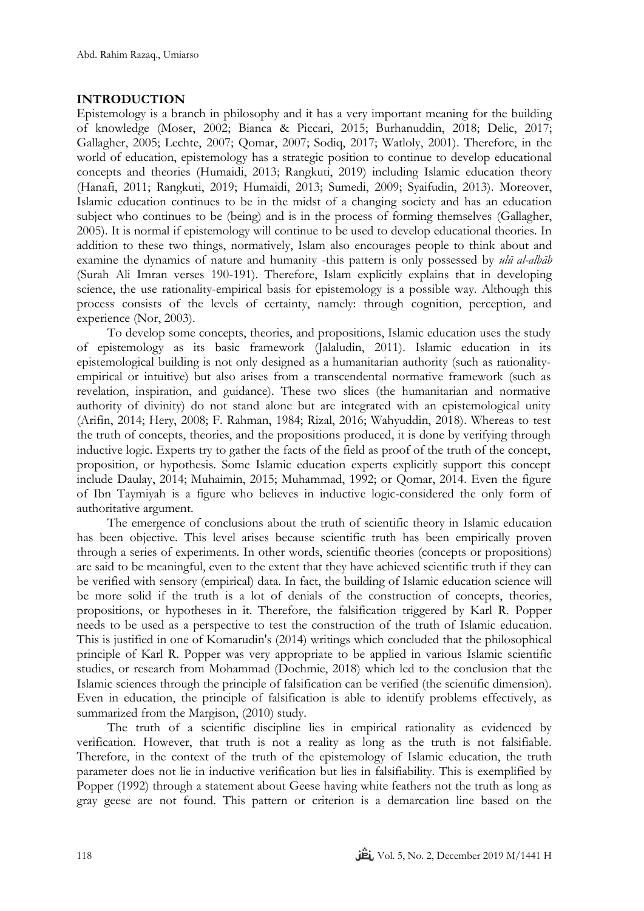# **INTRODUCTION**

Epistemology is a branch in philosophy and it has a very important meaning for the building of knowledge (Moser, 2002; Bianca & Piccari, 2015; Burhanuddin, 2018; Delic, 2017; Gallagher, 2005; Lechte, 2007; Qomar, 2007; Sodiq, 2017; Watloly, 2001). Therefore, in the world of education, epistemology has a strategic position to continue to develop educational concepts and theories (Humaidi, 2013; Rangkuti, 2019) including Islamic education theory (Hanafi, 2011; Rangkuti, 2019; Humaidi, 2013; Sumedi, 2009; Syaifudin, 2013). Moreover, Islamic education continues to be in the midst of a changing society and has an education subject who continues to be (being) and is in the process of forming themselves (Gallagher, 2005). It is normal if epistemology will continue to be used to develop educational theories. In addition to these two things, normatively, Islam also encourages people to think about and examine the dynamics of nature and humanity -this pattern is only possessed by *ulū al-albāb*  (Surah Ali Imran verses 190-191). Therefore, Islam explicitly explains that in developing science, the use rationality-empirical basis for epistemology is a possible way. Although this process consists of the levels of certainty, namely: through cognition, perception, and experience (Nor, 2003).

To develop some concepts, theories, and propositions, Islamic education uses the study of epistemology as its basic framework (Jalaludin, 2011). Islamic education in its epistemological building is not only designed as a humanitarian authority (such as rationalityempirical or intuitive) but also arises from a transcendental normative framework (such as revelation, inspiration, and guidance). These two slices (the humanitarian and normative authority of divinity) do not stand alone but are integrated with an epistemological unity (Arifin, 2014; Hery, 2008; F. Rahman, 1984; Rizal, 2016; Wahyuddin, 2018). Whereas to test the truth of concepts, theories, and the propositions produced, it is done by verifying through inductive logic. Experts try to gather the facts of the field as proof of the truth of the concept, proposition, or hypothesis. Some Islamic education experts explicitly support this concept include Daulay, 2014; Muhaimin, 2015; Muhammad, 1992; or Qomar, 2014. Even the figure of Ibn Taymiyah is a figure who believes in inductive logic-considered the only form of authoritative argument.

The emergence of conclusions about the truth of scientific theory in Islamic education has been objective. This level arises because scientific truth has been empirically proven through a series of experiments. In other words, scientific theories (concepts or propositions) are said to be meaningful, even to the extent that they have achieved scientific truth if they can be verified with sensory (empirical) data. In fact, the building of Islamic education science will be more solid if the truth is a lot of denials of the construction of concepts, theories, propositions, or hypotheses in it. Therefore, the falsification triggered by Karl R. Popper needs to be used as a perspective to test the construction of the truth of Islamic education. This is justified in one of Komarudin's (2014) writings which concluded that the philosophical principle of Karl R. Popper was very appropriate to be applied in various Islamic scientific studies, or research from Mohammad (Dochmie, 2018) which led to the conclusion that the Islamic sciences through the principle of falsification can be verified (the scientific dimension). Even in education, the principle of falsification is able to identify problems effectively, as summarized from the Margison, (2010) study.

The truth of a scientific discipline lies in empirical rationality as evidenced by verification. However, that truth is not a reality as long as the truth is not falsifiable. Therefore, in the context of the truth of the epistemology of Islamic education, the truth parameter does not lie in inductive verification but lies in falsifiability. This is exemplified by Popper (1992) through a statement about Geese having white feathers not the truth as long as gray geese are not found. This pattern or criterion is a demarcation line based on the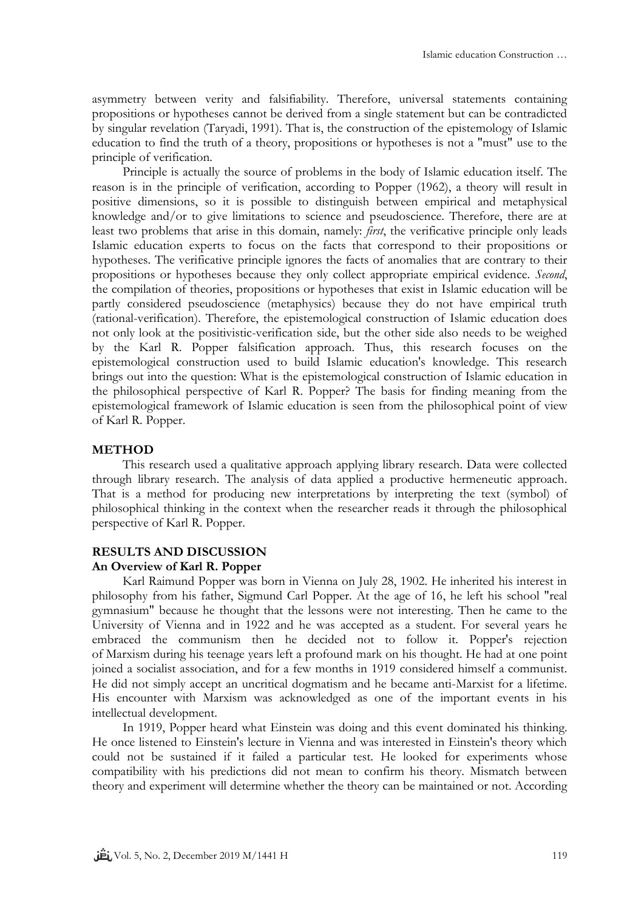asymmetry between verity and falsifiability. Therefore, universal statements containing propositions or hypotheses cannot be derived from a single statement but can be contradicted by singular revelation (Taryadi, 1991). That is, the construction of the epistemology of Islamic education to find the truth of a theory, propositions or hypotheses is not a "must" use to the principle of verification.

Principle is actually the source of problems in the body of Islamic education itself. The reason is in the principle of verification, according to Popper (1962), a theory will result in positive dimensions, so it is possible to distinguish between empirical and metaphysical knowledge and/or to give limitations to science and pseudoscience. Therefore, there are at least two problems that arise in this domain, namely: *first*, the verificative principle only leads Islamic education experts to focus on the facts that correspond to their propositions or hypotheses. The verificative principle ignores the facts of anomalies that are contrary to their propositions or hypotheses because they only collect appropriate empirical evidence. *Second*, the compilation of theories, propositions or hypotheses that exist in Islamic education will be partly considered pseudoscience (metaphysics) because they do not have empirical truth (rational-verification). Therefore, the epistemological construction of Islamic education does not only look at the positivistic-verification side, but the other side also needs to be weighed by the Karl R. Popper falsification approach. Thus, this research focuses on the epistemological construction used to build Islamic education's knowledge. This research brings out into the question: What is the epistemological construction of Islamic education in the philosophical perspective of Karl R. Popper? The basis for finding meaning from the epistemological framework of Islamic education is seen from the philosophical point of view of Karl R. Popper.

## **METHOD**

This research used a qualitative approach applying library research. Data were collected through library research. The analysis of data applied a productive hermeneutic approach. That is a method for producing new interpretations by interpreting the text (symbol) of philosophical thinking in the context when the researcher reads it through the philosophical perspective of Karl R. Popper.

#### **RESULTS AND DISCUSSION**

#### **An Overview of Karl R. Popper**

Karl Raimund Popper was born in Vienna on July 28, 1902. He inherited his interest in philosophy from his father, Sigmund Carl Popper. At the age of 16, he left his school "real gymnasium" because he thought that the lessons were not interesting. Then he came to the University of Vienna and in 1922 and he was accepted as a student. For several years he embraced the communism then he decided not to follow it. Popper's rejection of [Marxism](https://en.wikipedia.org/wiki/Marxism) during his teenage years left a profound mark on his thought. He had at one point joined a socialist association, and for a few months in 1919 considered himself a [communist.](https://en.wikipedia.org/wiki/Communist) He did not simply accept an uncritical dogmatism and he became anti-Marxist for a lifetime. His encounter with Marxism was acknowledged as one of the important events in his intellectual development.

In 1919, Popper heard what Einstein was doing and this event dominated his thinking. He once listened to Einstein's lecture in Vienna and was interested in Einstein's theory which could not be sustained if it failed a particular test. He looked for experiments whose compatibility with his predictions did not mean to confirm his theory. Mismatch between theory and experiment will determine whether the theory can be maintained or not. According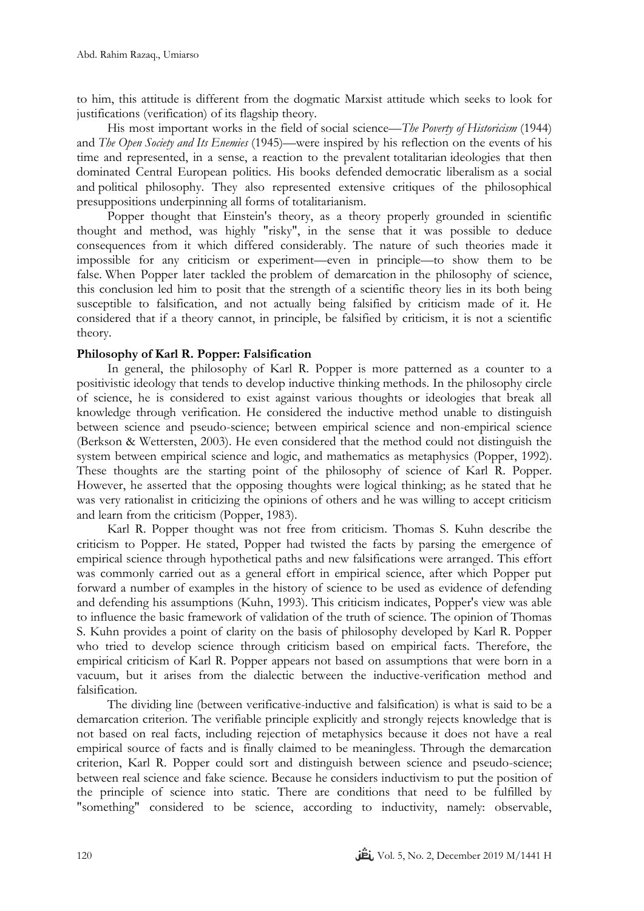to him, this attitude is different from the dogmatic Marxist attitude which seeks to look for justifications (verification) of its flagship theory.

His most important works in the field of [social science](https://en.wikipedia.org/wiki/Social_science)—*[The Poverty of Historicism](https://en.wikipedia.org/wiki/The_Poverty_of_Historicism)* (1944) and *[The Open Society and Its Enemies](https://en.wikipedia.org/wiki/The_Open_Society_and_Its_Enemies)* (1945)—were inspired by his reflection on the events of his time and represented, in a sense, a reaction to the prevalent [totalitarian](https://en.wikipedia.org/wiki/Totalitarianism) ideologies that then dominated Central European politics. His books defended [democratic liberalism](https://en.wikipedia.org/wiki/Democratic_liberalism) as a social and [political philosophy.](https://en.wikipedia.org/wiki/Political_philosophy) They also represented extensive critiques of the philosophical presuppositions underpinning all forms of [totalitarianism.](https://en.wikipedia.org/wiki/Totalitarianism)

Popper thought that Einstein's theory, as a theory properly grounded in scientific thought and method, was highly "risky", in the sense that it was possible to deduce consequences from it which differed considerably. The nature of such theories made it impossible for any criticism or experiment—even in principle—to show them to be false. When Popper later tackled the [problem of demarcation](https://en.wikipedia.org/wiki/Demarcation_problem) in the philosophy of science, this conclusion led him to posit that the strength of a scientific theory lies in its both being susceptible to falsification, and not actually being falsified by criticism made of it. He considered that if a theory cannot, in principle, be falsified by criticism, it is not a scientific theory.

## **Philosophy of Karl R. Popper: Falsification**

In general, the philosophy of Karl R. Popper is more patterned as a counter to a positivistic ideology that tends to develop inductive thinking methods. In the philosophy circle of science, he is considered to exist against various thoughts or ideologies that break all knowledge through verification. He considered the inductive method unable to distinguish between science and pseudo-science; between empirical science and non-empirical science (Berkson & Wettersten, 2003). He even considered that the method could not distinguish the system between empirical science and logic, and mathematics as metaphysics (Popper, 1992). These thoughts are the starting point of the philosophy of science of Karl R. Popper. However, he asserted that the opposing thoughts were logical thinking; as he stated that he was very rationalist in criticizing the opinions of others and he was willing to accept criticism and learn from the criticism (Popper, 1983).

Karl R. Popper thought was not free from criticism. Thomas S. Kuhn describe the criticism to Popper. He stated, Popper had twisted the facts by parsing the emergence of empirical science through hypothetical paths and new falsifications were arranged. This effort was commonly carried out as a general effort in empirical science, after which Popper put forward a number of examples in the history of science to be used as evidence of defending and defending his assumptions (Kuhn, 1993). This criticism indicates, Popper's view was able to influence the basic framework of validation of the truth of science. The opinion of Thomas S. Kuhn provides a point of clarity on the basis of philosophy developed by Karl R. Popper who tried to develop science through criticism based on empirical facts. Therefore, the empirical criticism of Karl R. Popper appears not based on assumptions that were born in a vacuum, but it arises from the dialectic between the inductive-verification method and falsification.

The dividing line (between verificative-inductive and falsification) is what is said to be a demarcation criterion. The verifiable principle explicitly and strongly rejects knowledge that is not based on real facts, including rejection of metaphysics because it does not have a real empirical source of facts and is finally claimed to be meaningless. Through the demarcation criterion, Karl R. Popper could sort and distinguish between science and pseudo-science; between real science and fake science. Because he considers inductivism to put the position of the principle of science into static. There are conditions that need to be fulfilled by "something" considered to be science, according to inductivity, namely: observable,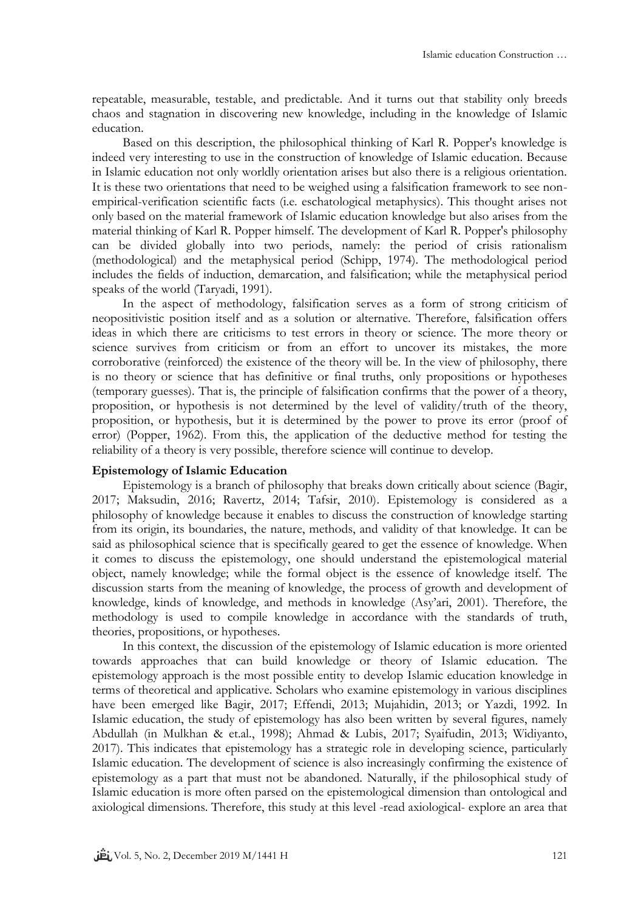repeatable, measurable, testable, and predictable. And it turns out that stability only breeds chaos and stagnation in discovering new knowledge, including in the knowledge of Islamic education.

Based on this description, the philosophical thinking of Karl R. Popper's knowledge is indeed very interesting to use in the construction of knowledge of Islamic education. Because in Islamic education not only worldly orientation arises but also there is a religious orientation. It is these two orientations that need to be weighed using a falsification framework to see nonempirical-verification scientific facts (i.e. eschatological metaphysics). This thought arises not only based on the material framework of Islamic education knowledge but also arises from the material thinking of Karl R. Popper himself. The development of Karl R. Popper's philosophy can be divided globally into two periods, namely: the period of crisis rationalism (methodological) and the metaphysical period (Schipp, 1974). The methodological period includes the fields of induction, demarcation, and falsification; while the metaphysical period speaks of the world (Taryadi, 1991).

In the aspect of methodology, falsification serves as a form of strong criticism of neopositivistic position itself and as a solution or alternative. Therefore, falsification offers ideas in which there are criticisms to test errors in theory or science. The more theory or science survives from criticism or from an effort to uncover its mistakes, the more corroborative (reinforced) the existence of the theory will be. In the view of philosophy, there is no theory or science that has definitive or final truths, only propositions or hypotheses (temporary guesses). That is, the principle of falsification confirms that the power of a theory, proposition, or hypothesis is not determined by the level of validity/truth of the theory, proposition, or hypothesis, but it is determined by the power to prove its error (proof of error) (Popper, 1962). From this, the application of the deductive method for testing the reliability of a theory is very possible, therefore science will continue to develop.

### **Epistemology of Islamic Education**

Epistemology is a branch of philosophy that breaks down critically about science (Bagir, 2017; Maksudin, 2016; Ravertz, 2014; Tafsir, 2010). Epistemology is considered as a philosophy of knowledge because it enables to discuss the construction of knowledge starting from its origin, its boundaries, the nature, methods, and validity of that knowledge. It can be said as philosophical science that is specifically geared to get the essence of knowledge. When it comes to discuss the epistemology, one should understand the epistemological material object, namely knowledge; while the formal object is the essence of knowledge itself. The discussion starts from the meaning of knowledge, the process of growth and development of knowledge, kinds of knowledge, and methods in knowledge (Asy'ari, 2001). Therefore, the methodology is used to compile knowledge in accordance with the standards of truth, theories, propositions, or hypotheses.

In this context, the discussion of the epistemology of Islamic education is more oriented towards approaches that can build knowledge or theory of Islamic education. The epistemology approach is the most possible entity to develop Islamic education knowledge in terms of theoretical and applicative. Scholars who examine epistemology in various disciplines have been emerged like Bagir, 2017; Effendi, 2013; Mujahidin, 2013; or Yazdi, 1992. In Islamic education, the study of epistemology has also been written by several figures, namely Abdullah (in Mulkhan & et.al., 1998); Ahmad & Lubis, 2017; Syaifudin, 2013; Widiyanto, 2017). This indicates that epistemology has a strategic role in developing science, particularly Islamic education. The development of science is also increasingly confirming the existence of epistemology as a part that must not be abandoned. Naturally, if the philosophical study of Islamic education is more often parsed on the epistemological dimension than ontological and axiological dimensions. Therefore, this study at this level -read axiological- explore an area that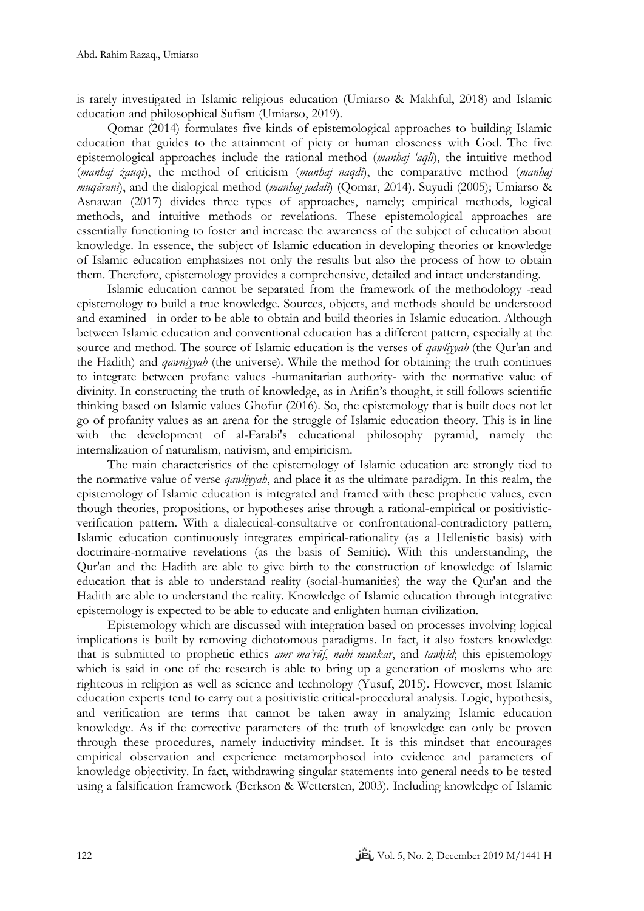is rarely investigated in Islamic religious education (Umiarso & Makhful, 2018) and Islamic education and philosophical Sufism (Umiarso, 2019).

Qomar (2014) formulates five kinds of epistemological approaches to building Islamic education that guides to the attainment of piety or human closeness with God. The five epistemological approaches include the rational method (*manhaj 'aqlī*), the intuitive method (*manhaj żauqi*), the method of criticism (*manhaj naqdī*), the comparative method (*manhaj muqārani*), and the dialogical method (*manhaj jadalī*) (Qomar, 2014). Suyudi (2005); Umiarso & Asnawan (2017) divides three types of approaches, namely; empirical methods, logical methods, and intuitive methods or revelations. These epistemological approaches are essentially functioning to foster and increase the awareness of the subject of education about knowledge. In essence, the subject of Islamic education in developing theories or knowledge of Islamic education emphasizes not only the results but also the process of how to obtain them. Therefore, epistemology provides a comprehensive, detailed and intact understanding.

Islamic education cannot be separated from the framework of the methodology -read epistemology to build a true knowledge. Sources, objects, and methods should be understood and examined in order to be able to obtain and build theories in Islamic education. Although between Islamic education and conventional education has a different pattern, especially at the source and method. The source of Islamic education is the verses of *qawliyyah* (the Qur'an and the Hadith) and *qawniyyah* (the universe). While the method for obtaining the truth continues to integrate between profane values -humanitarian authority- with the normative value of divinity. In constructing the truth of knowledge, as in Arifin's thought, it still follows scientific thinking based on Islamic values Ghofur (2016). So, the epistemology that is built does not let go of profanity values as an arena for the struggle of Islamic education theory. This is in line with the development of al-Farabi's educational philosophy pyramid, namely the internalization of naturalism, nativism, and empiricism.

The main characteristics of the epistemology of Islamic education are strongly tied to the normative value of verse *qawliyyah*, and place it as the ultimate paradigm. In this realm, the epistemology of Islamic education is integrated and framed with these prophetic values, even though theories, propositions, or hypotheses arise through a rational-empirical or positivisticverification pattern. With a dialectical-consultative or confrontational-contradictory pattern, Islamic education continuously integrates empirical-rationality (as a Hellenistic basis) with doctrinaire-normative revelations (as the basis of Semitic). With this understanding, the Qur'an and the Hadith are able to give birth to the construction of knowledge of Islamic education that is able to understand reality (social-humanities) the way the Qur'an and the Hadith are able to understand the reality. Knowledge of Islamic education through integrative epistemology is expected to be able to educate and enlighten human civilization.

Epistemology which are discussed with integration based on processes involving logical implications is built by removing dichotomous paradigms. In fact, it also fosters knowledge that is submitted to prophetic ethics *amr ma'rūf*, *nahi munkar*, and *tawḥīd*; this epistemology which is said in one of the research is able to bring up a generation of moslems who are righteous in religion as well as science and technology (Yusuf, 2015). However, most Islamic education experts tend to carry out a positivistic critical-procedural analysis. Logic, hypothesis, and verification are terms that cannot be taken away in analyzing Islamic education knowledge. As if the corrective parameters of the truth of knowledge can only be proven through these procedures, namely inductivity mindset. It is this mindset that encourages empirical observation and experience metamorphosed into evidence and parameters of knowledge objectivity. In fact, withdrawing singular statements into general needs to be tested using a falsification framework (Berkson & Wettersten, 2003). Including knowledge of Islamic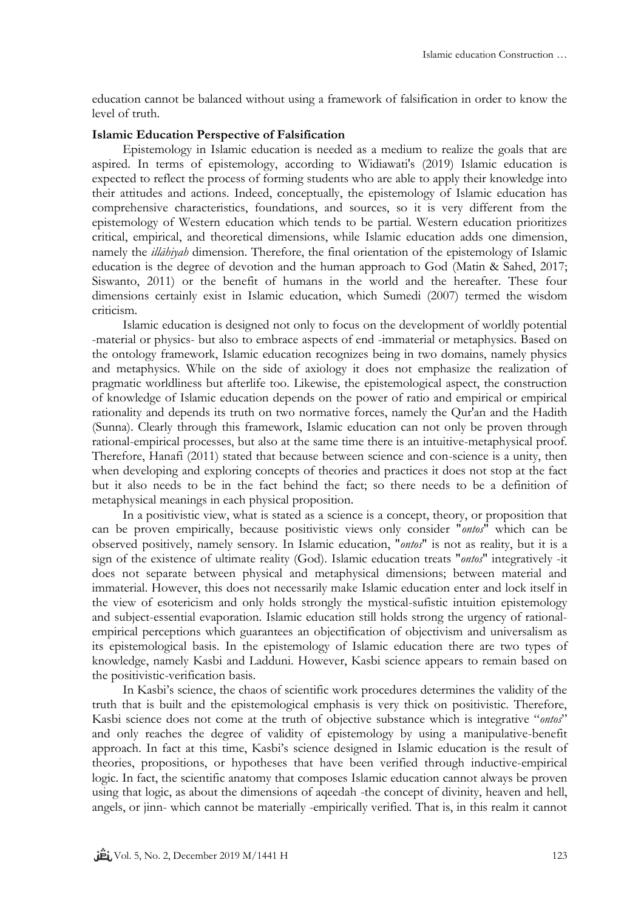education cannot be balanced without using a framework of falsification in order to know the level of truth.

#### **Islamic Education Perspective of Falsification**

Epistemology in Islamic education is needed as a medium to realize the goals that are aspired. In terms of epistemology, according to Widiawati's (2019) Islamic education is expected to reflect the process of forming students who are able to apply their knowledge into their attitudes and actions. Indeed, conceptually, the epistemology of Islamic education has comprehensive characteristics, foundations, and sources, so it is very different from the epistemology of Western education which tends to be partial. Western education prioritizes critical, empirical, and theoretical dimensions, while Islamic education adds one dimension, namely the *illāhiyah* dimension. Therefore, the final orientation of the epistemology of Islamic education is the degree of devotion and the human approach to God (Matin & Sahed, 2017; Siswanto, 2011) or the benefit of humans in the world and the hereafter. These four dimensions certainly exist in Islamic education, which Sumedi (2007) termed the wisdom criticism.

Islamic education is designed not only to focus on the development of worldly potential -material or physics- but also to embrace aspects of end -immaterial or metaphysics. Based on the ontology framework, Islamic education recognizes being in two domains, namely physics and metaphysics. While on the side of axiology it does not emphasize the realization of pragmatic worldliness but afterlife too. Likewise, the epistemological aspect, the construction of knowledge of Islamic education depends on the power of ratio and empirical or empirical rationality and depends its truth on two normative forces, namely the Qur'an and the Hadith (Sunna). Clearly through this framework, Islamic education can not only be proven through rational-empirical processes, but also at the same time there is an intuitive-metaphysical proof. Therefore, Hanafi (2011) stated that because between science and con-science is a unity, then when developing and exploring concepts of theories and practices it does not stop at the fact but it also needs to be in the fact behind the fact; so there needs to be a definition of metaphysical meanings in each physical proposition.

In a positivistic view, what is stated as a science is a concept, theory, or proposition that can be proven empirically, because positivistic views only consider "*ontos*" which can be observed positively, namely sensory. In Islamic education, "*ontos*" is not as reality, but it is a sign of the existence of ultimate reality (God). Islamic education treats "*ontos*" integratively -it does not separate between physical and metaphysical dimensions; between material and immaterial. However, this does not necessarily make Islamic education enter and lock itself in the view of esotericism and only holds strongly the mystical-sufistic intuition epistemology and subject-essential evaporation. Islamic education still holds strong the urgency of rationalempirical perceptions which guarantees an objectification of objectivism and universalism as its epistemological basis. In the epistemology of Islamic education there are two types of knowledge, namely Kasbi and Ladduni. However, Kasbi science appears to remain based on the positivistic-verification basis.

In Kasbi's science, the chaos of scientific work procedures determines the validity of the truth that is built and the epistemological emphasis is very thick on positivistic. Therefore, Kasbi science does not come at the truth of objective substance which is integrative "*ontos*" and only reaches the degree of validity of epistemology by using a manipulative-benefit approach. In fact at this time, Kasbi's science designed in Islamic education is the result of theories, propositions, or hypotheses that have been verified through inductive-empirical logic. In fact, the scientific anatomy that composes Islamic education cannot always be proven using that logic, as about the dimensions of aqeedah -the concept of divinity, heaven and hell, angels, or jinn- which cannot be materially -empirically verified. That is, in this realm it cannot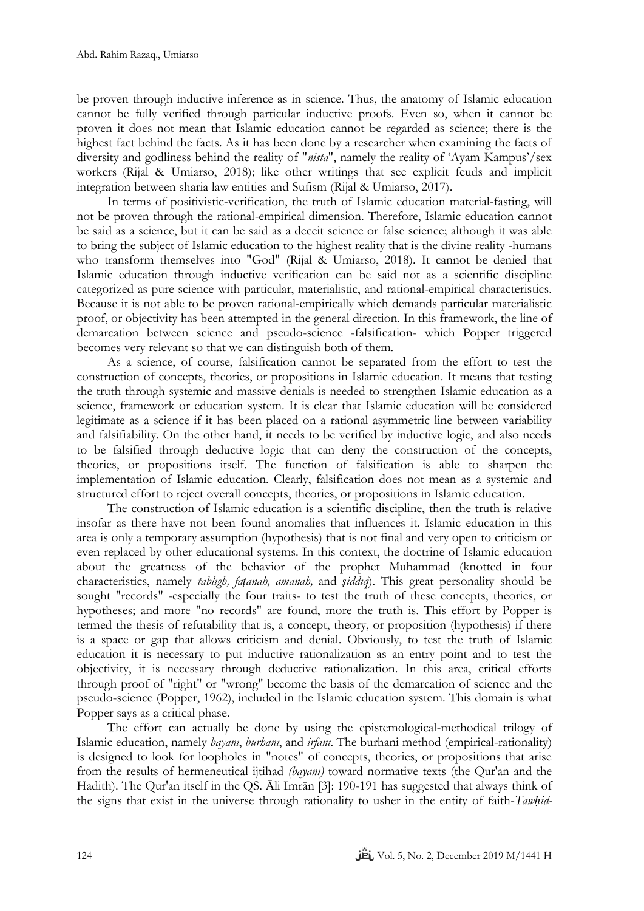be proven through inductive inference as in science. Thus, the anatomy of Islamic education cannot be fully verified through particular inductive proofs. Even so, when it cannot be proven it does not mean that Islamic education cannot be regarded as science; there is the highest fact behind the facts. As it has been done by a researcher when examining the facts of diversity and godliness behind the reality of "*nista*", namely the reality of 'Ayam Kampus'*/*sex workers (Rijal & Umiarso, 2018); like other writings that see explicit feuds and implicit integration between sharia law entities and Sufism (Rijal & Umiarso, 2017).

In terms of positivistic-verification, the truth of Islamic education material-fasting, will not be proven through the rational-empirical dimension. Therefore, Islamic education cannot be said as a science, but it can be said as a deceit science or false science; although it was able to bring the subject of Islamic education to the highest reality that is the divine reality -humans who transform themselves into "God" (Rijal & Umiarso, 2018). It cannot be denied that Islamic education through inductive verification can be said not as a scientific discipline categorized as pure science with particular, materialistic, and rational-empirical characteristics. Because it is not able to be proven rational-empirically which demands particular materialistic proof, or objectivity has been attempted in the general direction. In this framework, the line of demarcation between science and pseudo-science -falsification- which Popper triggered becomes very relevant so that we can distinguish both of them.

As a science, of course, falsification cannot be separated from the effort to test the construction of concepts, theories, or propositions in Islamic education. It means that testing the truth through systemic and massive denials is needed to strengthen Islamic education as a science, framework or education system. It is clear that Islamic education will be considered legitimate as a science if it has been placed on a rational asymmetric line between variability and falsifiability. On the other hand, it needs to be verified by inductive logic, and also needs to be falsified through deductive logic that can deny the construction of the concepts, theories, or propositions itself. The function of falsification is able to sharpen the implementation of Islamic education. Clearly, falsification does not mean as a systemic and structured effort to reject overall concepts, theories, or propositions in Islamic education.

The construction of Islamic education is a scientific discipline, then the truth is relative insofar as there have not been found anomalies that influences it. Islamic education in this area is only a temporary assumption (hypothesis) that is not final and very open to criticism or even replaced by other educational systems. In this context, the doctrine of Islamic education about the greatness of the behavior of the prophet Muhammad (knotted in four characteristics, namely *tablīgh, faṭānah, amānah,* and *ṣiddīq*). This great personality should be sought "records" -especially the four traits- to test the truth of these concepts, theories, or hypotheses; and more "no records" are found, more the truth is. This effort by Popper is termed the thesis of refutability that is, a concept, theory, or proposition (hypothesis) if there is a space or gap that allows criticism and denial. Obviously, to test the truth of Islamic education it is necessary to put inductive rationalization as an entry point and to test the objectivity, it is necessary through deductive rationalization. In this area, critical efforts through proof of "right" or "wrong" become the basis of the demarcation of science and the pseudo-science (Popper, 1962), included in the Islamic education system. This domain is what Popper says as a critical phase.

The effort can actually be done by using the epistemological-methodical trilogy of Islamic education, namely *bayānī*, *burhānī*, and *irfānī*. The burhani method (empirical-rationality) is designed to look for loopholes in "notes" of concepts, theories, or propositions that arise from the results of hermeneutical ijtihad *(bayānī)* toward normative texts (the Qur'an and the Hadith). The Qur'an itself in the QS. Ali Imrān [3]: 190-191 has suggested that always think of the signs that exist in the universe through rationality to usher in the entity of faith-*Tawḥid-*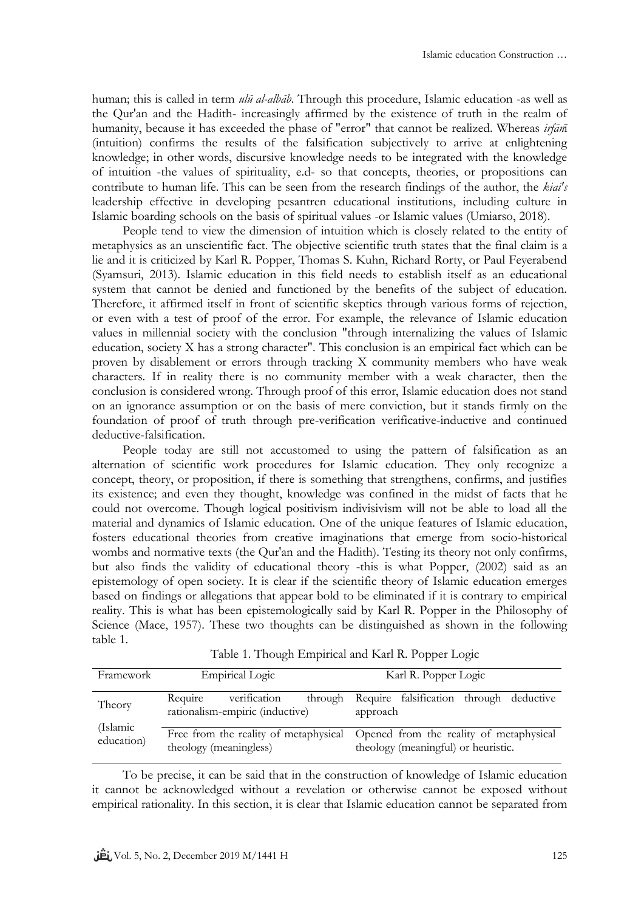human; this is called in term *ulū al-albāb*. Through this procedure, Islamic education -as well as the Qur'an and the Hadith- increasingly affirmed by the existence of truth in the realm of humanity, because it has exceeded the phase of "error" that cannot be realized. Whereas *irfān*ī (intuition) confirms the results of the falsification subjectively to arrive at enlightening knowledge; in other words, discursive knowledge needs to be integrated with the knowledge of intuition -the values of spirituality, e.d- so that concepts, theories, or propositions can contribute to human life. This can be seen from the research findings of the author, the *kiai's* leadership effective in developing pesantren educational institutions, including culture in Islamic boarding schools on the basis of spiritual values -or Islamic values (Umiarso, 2018).

People tend to view the dimension of intuition which is closely related to the entity of metaphysics as an unscientific fact. The objective scientific truth states that the final claim is a lie and it is criticized by Karl R. Popper, Thomas S. Kuhn, Richard Rorty, or Paul Feyerabend (Syamsuri, 2013). Islamic education in this field needs to establish itself as an educational system that cannot be denied and functioned by the benefits of the subject of education. Therefore, it affirmed itself in front of scientific skeptics through various forms of rejection, or even with a test of proof of the error. For example, the relevance of Islamic education values in millennial society with the conclusion "through internalizing the values of Islamic education, society X has a strong character". This conclusion is an empirical fact which can be proven by disablement or errors through tracking X community members who have weak characters. If in reality there is no community member with a weak character, then the conclusion is considered wrong. Through proof of this error, Islamic education does not stand on an ignorance assumption or on the basis of mere conviction, but it stands firmly on the foundation of proof of truth through pre-verification verificative-inductive and continued deductive-falsification.

People today are still not accustomed to using the pattern of falsification as an alternation of scientific work procedures for Islamic education. They only recognize a concept, theory, or proposition, if there is something that strengthens, confirms, and justifies its existence; and even they thought, knowledge was confined in the midst of facts that he could not overcome. Though logical positivism indivisivism will not be able to load all the material and dynamics of Islamic education. One of the unique features of Islamic education, fosters educational theories from creative imaginations that emerge from socio-historical wombs and normative texts (the Qur'an and the Hadith). Testing its theory not only confirms, but also finds the validity of educational theory -this is what Popper, (2002) said as an epistemology of open society. It is clear if the scientific theory of Islamic education emerges based on findings or allegations that appear bold to be eliminated if it is contrary to empirical reality. This is what has been epistemologically said by Karl R. Popper in the Philosophy of Science (Mace, 1957). These two thoughts can be distinguished as shown in the following table 1.

| Framework              | <b>Empirical Logic</b>                                     | Karl R. Popper Logic                                                                                                 |  |
|------------------------|------------------------------------------------------------|----------------------------------------------------------------------------------------------------------------------|--|
| Theory                 | verification<br>Require<br>rationalism-empiric (inductive) | through Require falsification through deductive<br>approach                                                          |  |
| (Islamic<br>education) | theology (meaningless)                                     | Free from the reality of metaphysical Opened from the reality of metaphysical<br>theology (meaningful) or heuristic. |  |

| Table 1. Though Empirical and Karl R. Popper Logic |  |  |
|----------------------------------------------------|--|--|
|                                                    |  |  |

To be precise, it can be said that in the construction of knowledge of Islamic education it cannot be acknowledged without a revelation or otherwise cannot be exposed without empirical rationality. In this section, it is clear that Islamic education cannot be separated from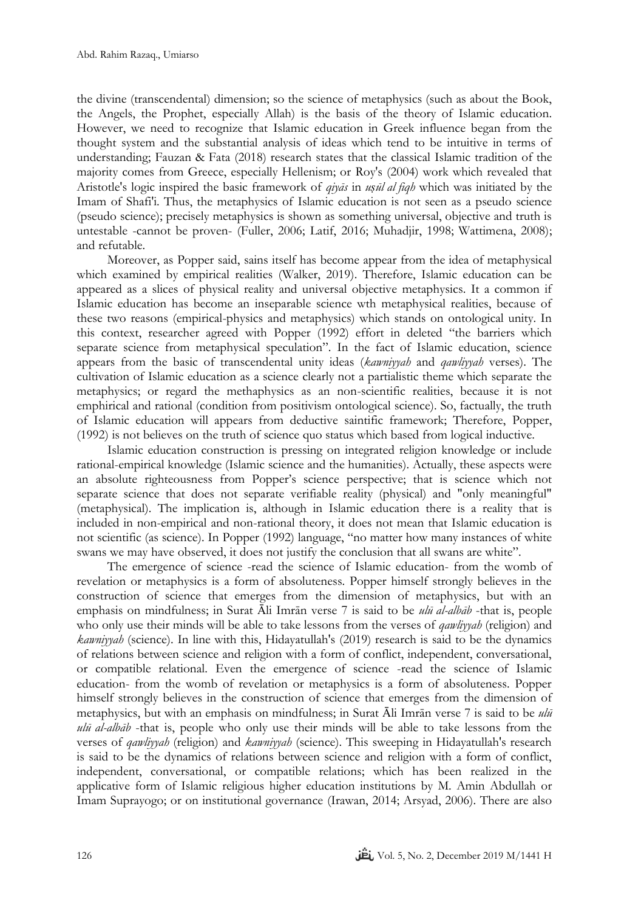the divine (transcendental) dimension; so the science of metaphysics (such as about the Book, the Angels, the Prophet, especially Allah) is the basis of the theory of Islamic education. However, we need to recognize that Islamic education in Greek influence began from the thought system and the substantial analysis of ideas which tend to be intuitive in terms of understanding; Fauzan & Fata (2018) research states that the classical Islamic tradition of the majority comes from Greece, especially Hellenism; or Roy's (2004) work which revealed that Aristotle's logic inspired the basic framework of *qiyās* in *uṣūl al fiqh* which was initiated by the Imam of Shafi'i. Thus, the metaphysics of Islamic education is not seen as a pseudo science (pseudo science); precisely metaphysics is shown as something universal, objective and truth is untestable -cannot be proven- (Fuller, 2006; Latif, 2016; Muhadjir, 1998; Wattimena, 2008); and refutable.

Moreover, as Popper said, sains itself has become appear from the idea of metaphysical which examined by empirical realities (Walker, 2019). Therefore, Islamic education can be appeared as a slices of physical reality and universal objective metaphysics. It a common if Islamic education has become an inseparable science wth metaphysical realities, because of these two reasons (empirical-physics and metaphysics) which stands on ontological unity. In this context, researcher agreed with Popper (1992) effort in deleted "the barriers which separate science from metaphysical speculation". In the fact of Islamic education, science appears from the basic of transcendental unity ideas (*kawniyyah* and *qawliyyah* verses). The cultivation of Islamic education as a science clearly not a partialistic theme which separate the metaphysics; or regard the methaphysics as an non-scientific realities, because it is not emphirical and rational (condition from positivism ontological science). So, factually, the truth of Islamic education will appears from deductive saintific framework; Therefore, Popper, (1992) is not believes on the truth of science quo status which based from logical inductive.

Islamic education construction is pressing on integrated religion knowledge or include rational-empirical knowledge (Islamic science and the humanities). Actually, these aspects were an absolute righteousness from Popper's science perspective; that is science which not separate science that does not separate verifiable reality (physical) and "only meaningful" (metaphysical). The implication is, although in Islamic education there is a reality that is included in non-empirical and non-rational theory, it does not mean that Islamic education is not scientific (as science). In Popper (1992) language, "no matter how many instances of white swans we may have observed, it does not justify the conclusion that all swans are white".

The emergence of science -read the science of Islamic education- from the womb of revelation or metaphysics is a form of absoluteness. Popper himself strongly believes in the construction of science that emerges from the dimension of metaphysics, but with an emphasis on mindfulness; in Surat Āli Imrān verse 7 is said to be *ulū al-albāb* -that is, people who only use their minds will be able to take lessons from the verses of *qawliyyah* (religion) and *kawniyyah* (science). In line with this, Hidayatullah's (2019) research is said to be the dynamics of relations between science and religion with a form of conflict, independent, conversational, or compatible relational. Even the emergence of science -read the science of Islamic education- from the womb of revelation or metaphysics is a form of absoluteness. Popper himself strongly believes in the construction of science that emerges from the dimension of metaphysics, but with an emphasis on mindfulness; in Surat  $\overline{A}$ li Imrān verse 7 is said to be *ulū ulū al-albāb* -that is, people who only use their minds will be able to take lessons from the verses of *qawliyyah* (religion) and *kawniyyah* (science). This sweeping in Hidayatullah's research is said to be the dynamics of relations between science and religion with a form of conflict, independent, conversational, or compatible relations; which has been realized in the applicative form of Islamic religious higher education institutions by M. Amin Abdullah or Imam Suprayogo; or on institutional governance (Irawan, 2014; Arsyad, 2006). There are also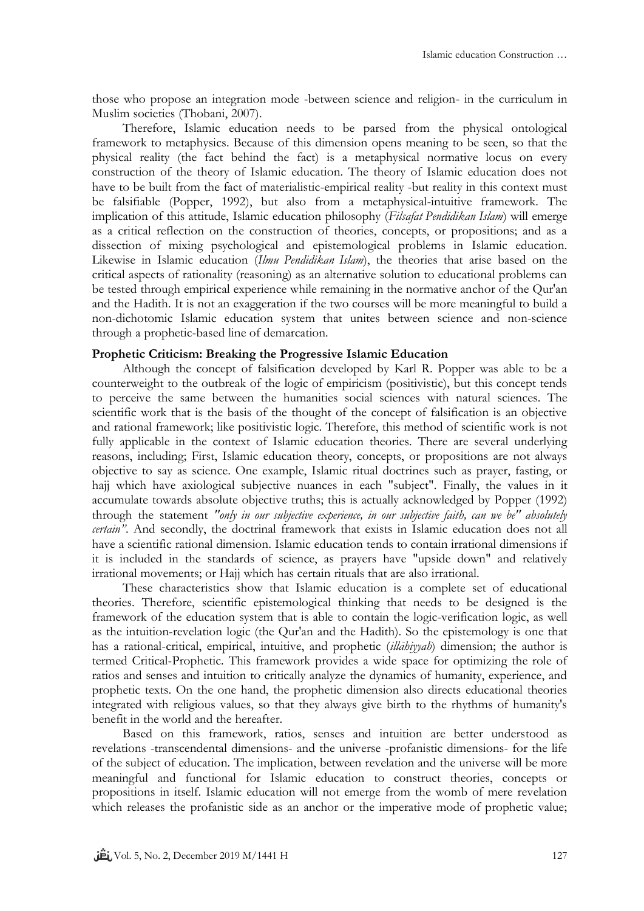those who propose an integration mode -between science and religion- in the curriculum in Muslim societies (Thobani, 2007).

Therefore, Islamic education needs to be parsed from the physical ontological framework to metaphysics. Because of this dimension opens meaning to be seen, so that the physical reality (the fact behind the fact) is a metaphysical normative locus on every construction of the theory of Islamic education. The theory of Islamic education does not have to be built from the fact of materialistic-empirical reality -but reality in this context must be falsifiable (Popper, 1992), but also from a metaphysical-intuitive framework. The implication of this attitude, Islamic education philosophy (*Filsafat Pendidikan Islam*) will emerge as a critical reflection on the construction of theories, concepts, or propositions; and as a dissection of mixing psychological and epistemological problems in Islamic education. Likewise in Islamic education (*Ilmu Pendidikan Islam*), the theories that arise based on the critical aspects of rationality (reasoning) as an alternative solution to educational problems can be tested through empirical experience while remaining in the normative anchor of the Qur'an and the Hadith. It is not an exaggeration if the two courses will be more meaningful to build a non-dichotomic Islamic education system that unites between science and non-science through a prophetic-based line of demarcation.

## **Prophetic Criticism: Breaking the Progressive Islamic Education**

Although the concept of falsification developed by Karl R. Popper was able to be a counterweight to the outbreak of the logic of empiricism (positivistic), but this concept tends to perceive the same between the humanities social sciences with natural sciences. The scientific work that is the basis of the thought of the concept of falsification is an objective and rational framework; like positivistic logic. Therefore, this method of scientific work is not fully applicable in the context of Islamic education theories. There are several underlying reasons, including; First, Islamic education theory, concepts, or propositions are not always objective to say as science. One example, Islamic ritual doctrines such as prayer, fasting, or hajj which have axiological subjective nuances in each "subject". Finally, the values in it accumulate towards absolute objective truths; this is actually acknowledged by Popper (1992) through the statement *"only in our subjective experience, in our subjective faith, can we be" absolutely certain"*. And secondly, the doctrinal framework that exists in Islamic education does not all have a scientific rational dimension. Islamic education tends to contain irrational dimensions if it is included in the standards of science, as prayers have "upside down" and relatively irrational movements; or Hajj which has certain rituals that are also irrational.

These characteristics show that Islamic education is a complete set of educational theories. Therefore, scientific epistemological thinking that needs to be designed is the framework of the education system that is able to contain the logic-verification logic, as well as the intuition-revelation logic (the Qur'an and the Hadith). So the epistemology is one that has a rational-critical, empirical, intuitive, and prophetic (*illāhiyyah*) dimension; the author is termed Critical-Prophetic. This framework provides a wide space for optimizing the role of ratios and senses and intuition to critically analyze the dynamics of humanity, experience, and prophetic texts. On the one hand, the prophetic dimension also directs educational theories integrated with religious values, so that they always give birth to the rhythms of humanity's benefit in the world and the hereafter.

Based on this framework, ratios, senses and intuition are better understood as revelations -transcendental dimensions- and the universe -profanistic dimensions- for the life of the subject of education. The implication, between revelation and the universe will be more meaningful and functional for Islamic education to construct theories, concepts or propositions in itself. Islamic education will not emerge from the womb of mere revelation which releases the profanistic side as an anchor or the imperative mode of prophetic value;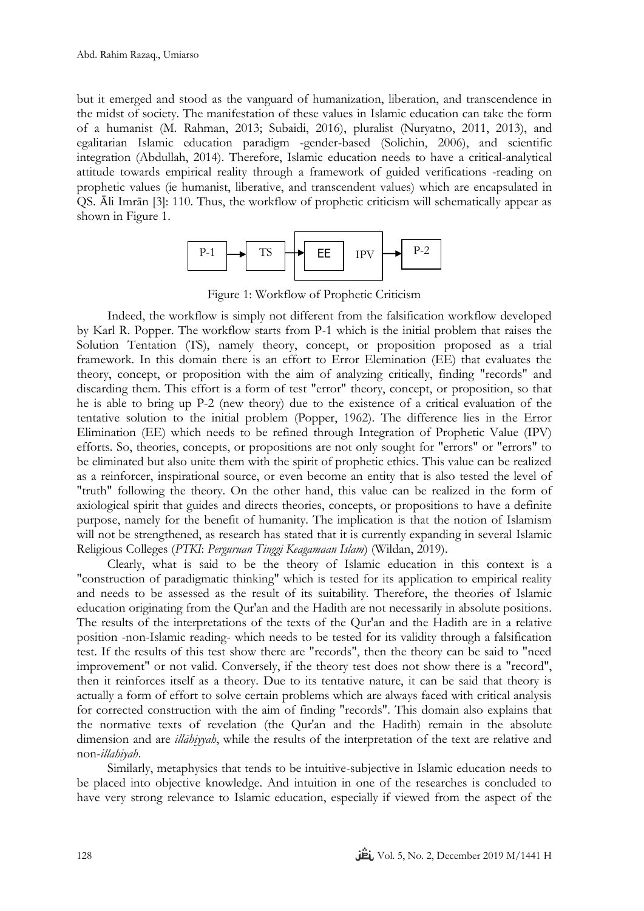but it emerged and stood as the vanguard of humanization, liberation, and transcendence in the midst of society. The manifestation of these values in Islamic education can take the form of a humanist (M. Rahman, 2013; Subaidi, 2016), pluralist (Nuryatno, 2011, 2013), and egalitarian Islamic education paradigm -gender-based (Solichin, 2006), and scientific integration (Abdullah, 2014). Therefore, Islamic education needs to have a critical-analytical attitude towards empirical reality through a framework of guided verifications -reading on prophetic values (ie humanist, liberative, and transcendent values) which are encapsulated in QS. Ᾱli Imrān [3]: 110. Thus, the workflow of prophetic criticism will schematically appear as shown in Figure 1.



Figure 1: Workflow of Prophetic Criticism

Indeed, the workflow is simply not different from the falsification workflow developed by Karl R. Popper. The workflow starts from P-1 which is the initial problem that raises the Solution Tentation (TS), namely theory, concept, or proposition proposed as a trial framework. In this domain there is an effort to Error Elemination (EE) that evaluates the theory, concept, or proposition with the aim of analyzing critically, finding "records" and discarding them. This effort is a form of test "error" theory, concept, or proposition, so that he is able to bring up P-2 (new theory) due to the existence of a critical evaluation of the tentative solution to the initial problem (Popper, 1962). The difference lies in the Error Elimination (EE) which needs to be refined through Integration of Prophetic Value (IPV) efforts. So, theories, concepts, or propositions are not only sought for "errors" or "errors" to be eliminated but also unite them with the spirit of prophetic ethics. This value can be realized as a reinforcer, inspirational source, or even become an entity that is also tested the level of "truth" following the theory. On the other hand, this value can be realized in the form of axiological spirit that guides and directs theories, concepts, or propositions to have a definite purpose, namely for the benefit of humanity. The implication is that the notion of Islamism will not be strengthened, as research has stated that it is currently expanding in several Islamic Religious Colleges (*PTKI*: *Perguruan Tinggi Keagamaan Islam*) (Wildan, 2019).

Clearly, what is said to be the theory of Islamic education in this context is a "construction of paradigmatic thinking" which is tested for its application to empirical reality and needs to be assessed as the result of its suitability. Therefore, the theories of Islamic education originating from the Qur'an and the Hadith are not necessarily in absolute positions. The results of the interpretations of the texts of the Qur'an and the Hadith are in a relative position -non-Islamic reading- which needs to be tested for its validity through a falsification test. If the results of this test show there are "records", then the theory can be said to "need improvement" or not valid. Conversely, if the theory test does not show there is a "record", then it reinforces itself as a theory. Due to its tentative nature, it can be said that theory is actually a form of effort to solve certain problems which are always faced with critical analysis for corrected construction with the aim of finding "records". This domain also explains that the normative texts of revelation (the Qur'an and the Hadith) remain in the absolute dimension and are *illāhiyyah*, while the results of the interpretation of the text are relative and non-*illahiyah*.

Similarly, metaphysics that tends to be intuitive-subjective in Islamic education needs to be placed into objective knowledge. And intuition in one of the researches is concluded to have very strong relevance to Islamic education, especially if viewed from the aspect of the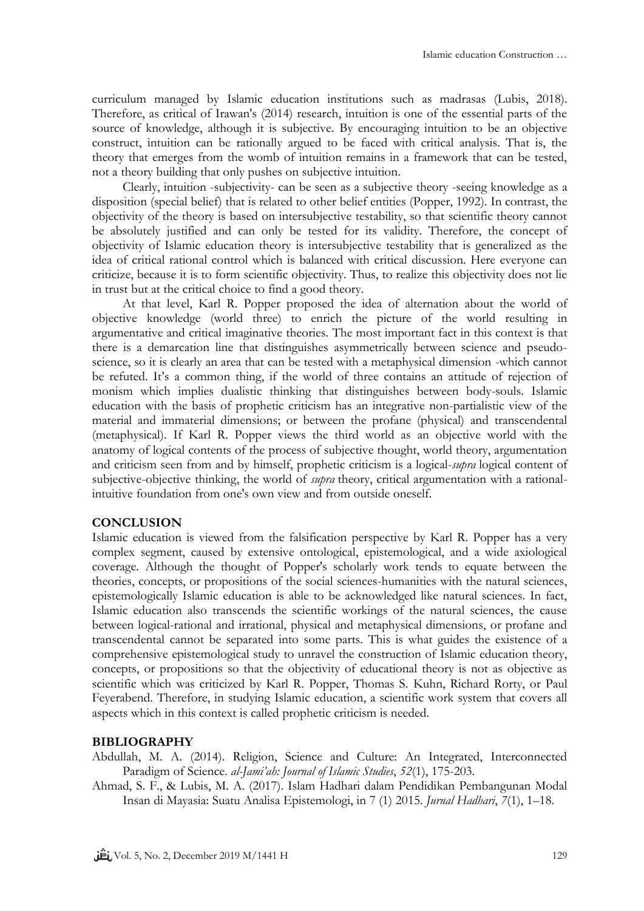curriculum managed by Islamic education institutions such as madrasas (Lubis, 2018). Therefore, as critical of Irawan's (2014) research, intuition is one of the essential parts of the source of knowledge, although it is subjective. By encouraging intuition to be an objective construct, intuition can be rationally argued to be faced with critical analysis. That is, the theory that emerges from the womb of intuition remains in a framework that can be tested, not a theory building that only pushes on subjective intuition.

Clearly, intuition -subjectivity- can be seen as a subjective theory -seeing knowledge as a disposition (special belief) that is related to other belief entities (Popper, 1992). In contrast, the objectivity of the theory is based on intersubjective testability, so that scientific theory cannot be absolutely justified and can only be tested for its validity. Therefore, the concept of objectivity of Islamic education theory is intersubjective testability that is generalized as the idea of critical rational control which is balanced with critical discussion. Here everyone can criticize, because it is to form scientific objectivity. Thus, to realize this objectivity does not lie in trust but at the critical choice to find a good theory.

At that level, Karl R. Popper proposed the idea of alternation about the world of objective knowledge (world three) to enrich the picture of the world resulting in argumentative and critical imaginative theories. The most important fact in this context is that there is a demarcation line that distinguishes asymmetrically between science and pseudoscience, so it is clearly an area that can be tested with a metaphysical dimension -which cannot be refuted. It's a common thing, if the world of three contains an attitude of rejection of monism which implies dualistic thinking that distinguishes between body-souls. Islamic education with the basis of prophetic criticism has an integrative non-partialistic view of the material and immaterial dimensions; or between the profane (physical) and transcendental (metaphysical). If Karl R. Popper views the third world as an objective world with the anatomy of logical contents of the process of subjective thought, world theory, argumentation and criticism seen from and by himself, prophetic criticism is a logical-*supra* logical content of subjective-objective thinking, the world of *supra* theory, critical argumentation with a rationalintuitive foundation from one's own view and from outside oneself.

## **CONCLUSION**

Islamic education is viewed from the falsification perspective by Karl R. Popper has a very complex segment, caused by extensive ontological, epistemological, and a wide axiological coverage. Although the thought of Popper's scholarly work tends to equate between the theories, concepts, or propositions of the social sciences-humanities with the natural sciences, epistemologically Islamic education is able to be acknowledged like natural sciences. In fact, Islamic education also transcends the scientific workings of the natural sciences, the cause between logical-rational and irrational, physical and metaphysical dimensions, or profane and transcendental cannot be separated into some parts. This is what guides the existence of a comprehensive epistemological study to unravel the construction of Islamic education theory, concepts, or propositions so that the objectivity of educational theory is not as objective as scientific which was criticized by Karl R. Popper, Thomas S. Kuhn, Richard Rorty, or Paul Feyerabend. Therefore, in studying Islamic education, a scientific work system that covers all aspects which in this context is called prophetic criticism is needed.

#### **BIBLIOGRAPHY**

- Abdullah, M. A. (2014). Religion, Science and Culture: An Integrated, Interconnected Paradigm of Science. *al-Jami'ah: Journal of Islamic Studies*, *52*(1), 175-203.
- Ahmad, S. F., & Lubis, M. A. (2017). Islam Hadhari dalam Pendidikan Pembangunan Modal Insan di Mayasia: Suatu Analisa Epistemologi, in 7 (1) 2015. *Jurnal Hadhari*, *7*(1), 1–18.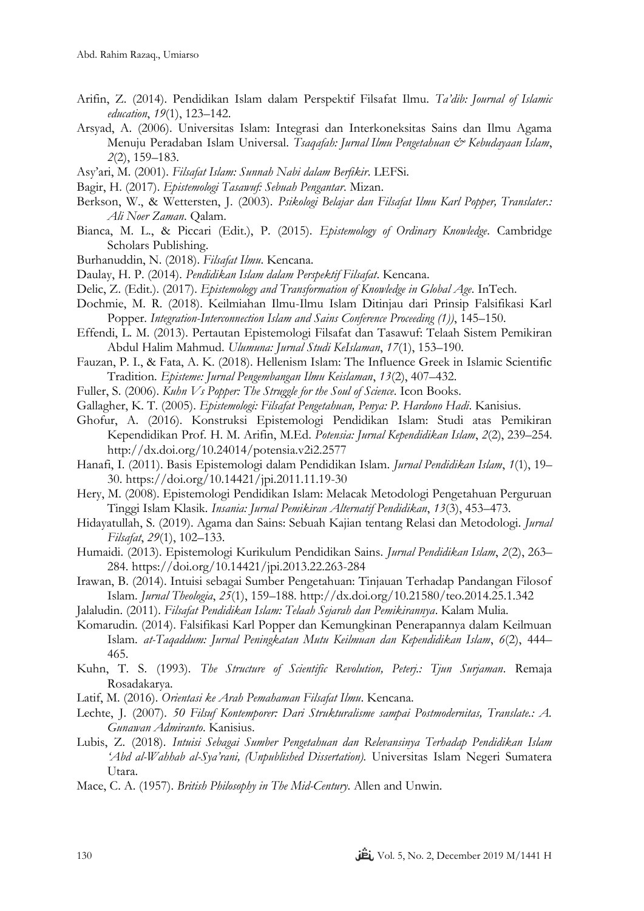- Arifin, Z. (2014). Pendidikan Islam dalam Perspektif Filsafat Ilmu. *Ta'dib: Journal of Islamic education*, *19*(1), 123–142.
- Arsyad, A. (2006). Universitas Islam: Integrasi dan Interkoneksitas Sains dan Ilmu Agama Menuju Peradaban Islam Universal. *Tsaqafah: Jurnal Ilmu Pengetahuan & Kebudayaan Islam*, *2*(2), 159–183.
- Asy'ari, M. (2001). *Filsafat Islam: Sunnah Nabi dalam Berfikir*. LEFSi.
- Bagir, H. (2017). *Epistemologi Tasawuf: Sebuah Pengantar*. Mizan.
- Berkson, W., & Wettersten, J. (2003). *Psikologi Belajar dan Filsafat Ilmu Karl Popper, Translater.: Ali Noer Zaman*. Qalam.
- Bianca, M. L., & Piccari (Edit.), P. (2015). *Epistemology of Ordinary Knowledge*. Cambridge Scholars Publishing.
- Burhanuddin, N. (2018). *Filsafat Ilmu*. Kencana.
- Daulay, H. P. (2014). *Pendidikan Islam dalam Perspektif Filsafat*. Kencana.
- Delic, Z. (Edit.). (2017). *Epistemology and Transformation of Knowledge in Global Age*. InTech.
- Dochmie, M. R. (2018). Keilmiahan Ilmu-Ilmu Islam Ditinjau dari Prinsip Falsifikasi Karl Popper. *Integration-Interconnection Islam and Sains Conference Proceeding (1))*, 145–150.
- Effendi, L. M. (2013). Pertautan Epistemologi Filsafat dan Tasawuf: Telaah Sistem Pemikiran Abdul Halim Mahmud. *Ulumuna: Jurnal Studi KeIslaman*, *17*(1), 153–190.
- Fauzan, P. I., & Fata, A. K. (2018). Hellenism Islam: The Influence Greek in Islamic Scientific Tradition. *Episteme: Jurnal Pengembangan Ilmu Keislaman*, *13*(2), 407–432.
- Fuller, S. (2006). *Kuhn Vs Popper: The Struggle for the Soul of Science*. Icon Books.
- Gallagher, K. T. (2005). *Epistemologi: Filsafat Pengetahuan, Penya: P. Hardono Hadi*. Kanisius.
- Ghofur, A. (2016). Konstruksi Epistemologi Pendidikan Islam: Studi atas Pemikiran Kependidikan Prof. H. M. Arifin, M.Ed. *Potensia: Jurnal Kependidikan Islam*, *2*(2), 239–254. http://dx.doi.org/10.24014/potensia.v2i2.2577
- Hanafi, I. (2011). Basis Epistemologi dalam Pendidikan Islam. *Jurnal Pendidikan Islam*, *1*(1), 19– 30. https://doi.org/10.14421/jpi.2011.11.19-30
- Hery, M. (2008). Epistemologi Pendidikan Islam: Melacak Metodologi Pengetahuan Perguruan Tinggi Islam Klasik. *Insania: Jurnal Pemikiran Alternatif Pendidikan*, *13*(3), 453–473.
- Hidayatullah, S. (2019). Agama dan Sains: Sebuah Kajian tentang Relasi dan Metodologi. *Jurnal Filsafat*, *29*(1), 102–133.
- Humaidi. (2013). Epistemologi Kurikulum Pendidikan Sains. *Jurnal Pendidikan Islam*, *2*(2), 263– 284. https://doi.org/10.14421/jpi.2013.22.263-284
- Irawan, B. (2014). Intuisi sebagai Sumber Pengetahuan: Tinjauan Terhadap Pandangan Filosof Islam. *Jurnal Theologia*, *25*(1), 159–188. http://dx.doi.org/10.21580/teo.2014.25.1.342
- Jalaludin. (2011). *Filsafat Pendidikan Islam: Telaah Sejarah dan Pemikirannya*. Kalam Mulia.
- Komarudin. (2014). Falsifikasi Karl Popper dan Kemungkinan Penerapannya dalam Keilmuan Islam. *at-Taqaddum: Jurnal Peningkatan Mutu Keilmuan dan Kependidikan Islam*, *6*(2), 444– 465.
- Kuhn, T. S. (1993). *The Structure of Scientific Revolution, Peterj.: Tjun Surjaman*. Remaja Rosadakarya.
- Latif, M. (2016). *Orientasi ke Arah Pemahaman Filsafat Ilmu*. Kencana.
- Lechte, J. (2007). *50 Filsuf Kontemporer: Dari Strukturalisme sampai Postmodernitas, Translate.: A. Gunawan Admiranto*. Kanisius.
- Lubis, Z. (2018). *Intuisi Sebagai Sumber Pengetahuan dan Relevansinya Terhadap Pendidikan Islam 'Abd al-Wahhab al-Sya'rani, (Unpublished Dissertation).* Universitas Islam Negeri Sumatera Utara.
- Mace, C. A. (1957). *British Philosophy in The Mid-Century*. Allen and Unwin.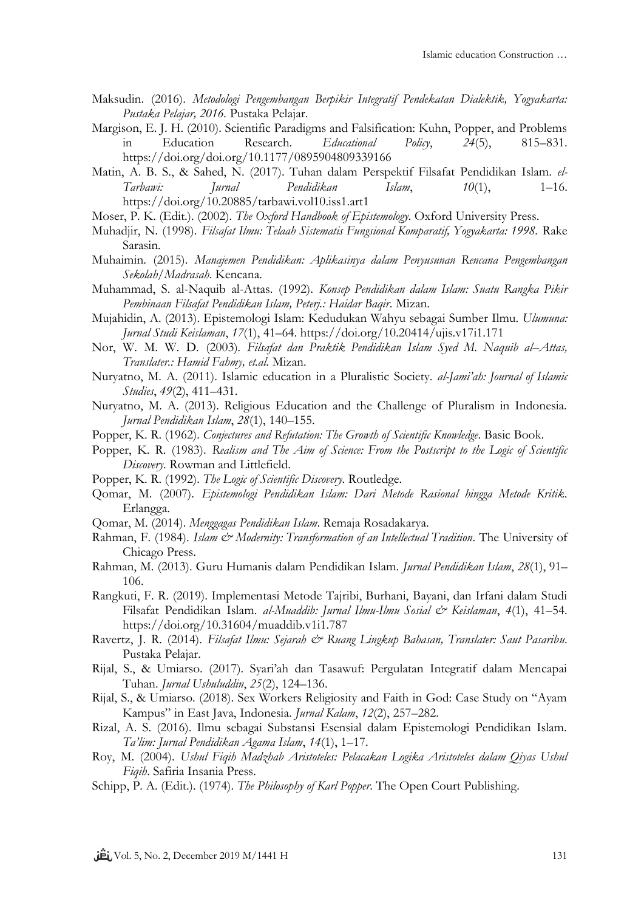- Maksudin. (2016). *Metodologi Pengembangan Berpikir Integratif Pendekatan Dialektik, Yogyakarta: Pustaka Pelajar, 2016.* Pustaka Pelajar.
- Margison, E. J. H. (2010). Scientific Paradigms and Falsification: Kuhn, Popper, and Problems in Education Research. *Educational Policy*, *24*(5), 815–831. https://doi.org/doi.org/10.1177/0895904809339166
- Matin, A. B. S., & Sahed, N. (2017). Tuhan dalam Perspektif Filsafat Pendidikan Islam. *el-Tarbawi: Jurnal Pendidikan Islam*, *10*(1), 1–16. https://doi.org/10.20885/tarbawi.vol10.iss1.art1
- Moser, P. K. (Edit.). (2002). *The Oxford Handbook of Epistemology*. Oxford University Press.
- Muhadjir, N. (1998). *Filsafat Ilmu: Telaah Sistematis Fungsional Komparatif, Yogyakarta: 1998.* Rake Sarasin.
- Muhaimin. (2015). *Manajemen Pendidikan: Aplikasinya dalam Penyusunan Rencana Pengembangan Sekolah/Madrasah*. Kencana.
- Muhammad, S. al-Naquib al-Attas. (1992). *Konsep Pendidikan dalam Islam: Suatu Rangka Pikir Pembinaan Filsafat Pendidikan Islam, Peterj.: Haidar Baqir*. Mizan.
- Mujahidin, A. (2013). Epistemologi Islam: Kedudukan Wahyu sebagai Sumber Ilmu. *Ulumuna: Jurnal Studi Keislaman*, *17*(1), 41–64. https://doi.org/10.20414/ujis.v17i1.171
- Nor, W. M. W. D. (2003)*. Filsafat dan Praktik Pendidikan Islam Syed M. Naquib al–Attas, Translater.: Hamid Fahmy, et.al.* Mizan.
- Nuryatno, M. A. (2011). Islamic education in a Pluralistic Society. *al-Jami'ah: Journal of Islamic Studies*, *49*(2), 411–431.
- Nuryatno, M. A. (2013). Religious Education and the Challenge of Pluralism in Indonesia. *Jurnal Pendidikan Islam*, *28*(1), 140–155.
- Popper, K. R. (1962). *Conjectures and Refutation: The Growth of Scientific Knowledge*. Basic Book.
- Popper, K. R. (1983). *Realism and The Aim of Science: From the Postscript to the Logic of Scientific Discovery*. Rowman and Littlefield.
- Popper, K. R. (1992). *The Logic of Scientific Discovery*. Routledge.
- Qomar, M. (2007). *Epistemologi Pendidikan Islam: Dari Metode Rasional hingga Metode Kritik*. Erlangga.
- Qomar, M. (2014). *Menggagas Pendidikan Islam*. Remaja Rosadakarya.
- Rahman, F. (1984). *Islam & Modernity: Transformation of an Intellectual Tradition*. The University of Chicago Press.
- Rahman, M. (2013). Guru Humanis dalam Pendidikan Islam. *Jurnal Pendidikan Islam*, *28*(1), 91– 106.
- Rangkuti, F. R. (2019). Implementasi Metode Tajribi, Burhani, Bayani, dan Irfani dalam Studi Filsafat Pendidikan Islam. *al-Muaddib: Jurnal Ilmu-Ilmu Sosial & Keislaman*, *4*(1), 41–54. https://doi.org/10.31604/muaddib.v1i1.787
- Ravertz, J. R. (2014). *Filsafat Ilmu: Sejarah & Ruang Lingkup Bahasan, Translater: Saut Pasaribu.* Pustaka Pelajar.
- Rijal, S., & Umiarso. (2017). Syari'ah dan Tasawuf: Pergulatan Integratif dalam Mencapai Tuhan. *Jurnal Ushuluddin*, *25*(2), 124–136.
- Rijal, S., & Umiarso. (2018). Sex Workers Religiosity and Faith in God: Case Study on "Ayam Kampus" in East Java, Indonesia. *Jurnal Kalam*, *12*(2), 257–282.
- Rizal, A. S. (2016). Ilmu sebagai Substansi Esensial dalam Epistemologi Pendidikan Islam. *Ta'lim: Jurnal Pendidikan Agama Islam*, *14*(1), 1–17.
- Roy, M. (2004). *Ushul Fiqih Madzhab Aristoteles: Pelacakan Logika Aristoteles dalam Qiyas Ushul Fiqih*. Safiria Insania Press.
- Schipp, P. A. (Edit.). (1974). *The Philosophy of Karl Popper*. The Open Court Publishing.